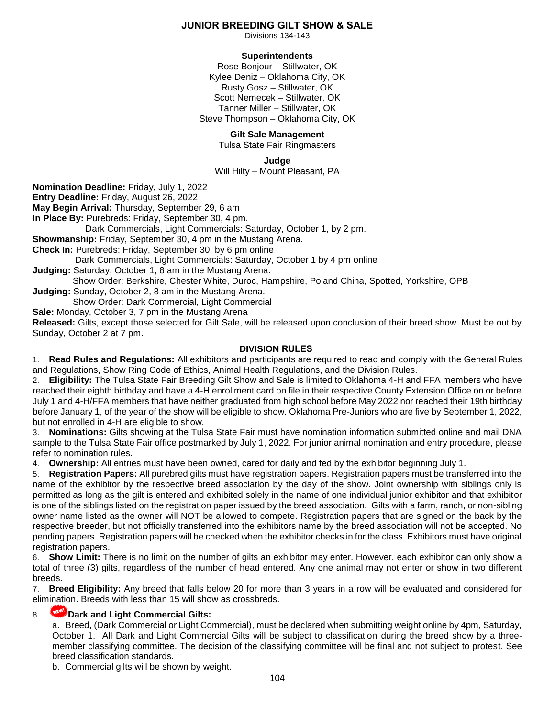# **JUNIOR BREEDING GILT SHOW & SALE**

Divisions 134-143

# **Superintendents**

Rose Bonjour – Stillwater, OK Kylee Deniz – Oklahoma City, OK Rusty Gosz – Stillwater, OK Scott Nemecek – Stillwater, OK Tanner Miller – Stillwater, OK Steve Thompson – Oklahoma City, OK

#### **Gilt Sale Management**

Tulsa State Fair Ringmasters

**Judge**

Will Hilty – Mount Pleasant, PA

**Nomination Deadline:** Friday, July 1, 2022

**Entry Deadline:** Friday, August 26, 2022

**May Begin Arrival:** Thursday, September 29, 6 am

**In Place By:** Purebreds: Friday, September 30, 4 pm.

Dark Commercials, Light Commercials: Saturday, October 1, by 2 pm.

**Showmanship:** Friday, September 30, 4 pm in the Mustang Arena.

**Check In:** Purebreds: Friday, September 30, by 6 pm online

 Dark Commercials, Light Commercials: Saturday, October 1 by 4 pm online **Judging:** Saturday, October 1, 8 am in the Mustang Arena.

Show Order: Berkshire, Chester White, Duroc, Hampshire, Poland China, Spotted, Yorkshire, OPB **Judging:** Sunday, October 2, 8 am in the Mustang Arena.

Show Order: Dark Commercial, Light Commercial

**Sale:** Monday, October 3, 7 pm in the Mustang Arena

**Released:** Gilts, except those selected for Gilt Sale, will be released upon conclusion of their breed show. Must be out by Sunday, October 2 at 7 pm.

#### **DIVISION RULES**

1. **Read Rules and Regulations:** All exhibitors and participants are required to read and comply with the General Rules and Regulations, Show Ring Code of Ethics, Animal Health Regulations, and the Division Rules.

2. **Eligibility:** The Tulsa State Fair Breeding Gilt Show and Sale is limited to Oklahoma 4-H and FFA members who have reached their eighth birthday and have a 4-H enrollment card on file in their respective County Extension Office on or before July 1 and 4-H/FFA members that have neither graduated from high school before May 2022 nor reached their 19th birthday before January 1, of the year of the show will be eligible to show. Oklahoma Pre-Juniors who are five by September 1, 2022, but not enrolled in 4-H are eligible to show.

3. **Nominations:** Gilts showing at the Tulsa State Fair must have nomination information submitted online and mail DNA sample to the Tulsa State Fair office postmarked by July 1, 2022. For junior animal nomination and entry procedure, please refer to nomination rules.

4. **Ownership:** All entries must have been owned, cared for daily and fed by the exhibitor beginning July 1.

5. **Registration Papers:** All purebred gilts must have registration papers. Registration papers must be transferred into the name of the exhibitor by the respective breed association by the day of the show. Joint ownership with siblings only is permitted as long as the gilt is entered and exhibited solely in the name of one individual junior exhibitor and that exhibitor is one of the siblings listed on the registration paper issued by the breed association. Gilts with a farm, ranch, or non-sibling owner name listed as the owner will NOT be allowed to compete. Registration papers that are signed on the back by the respective breeder, but not officially transferred into the exhibitors name by the breed association will not be accepted. No pending papers. Registration papers will be checked when the exhibitor checks in for the class. Exhibitors must have original registration papers.

**Show Limit:** There is no limit on the number of gilts an exhibitor may enter. However, each exhibitor can only show a total of three (3) gilts, regardless of the number of head entered. Any one animal may not enter or show in two different breeds.

7. **Breed Eligibility:** Any breed that falls below 20 for more than 3 years in a row will be evaluated and considered for elimination. Breeds with less than 15 will show as crossbreds.

# 8. **Dark and Light Commercial Gilts:**

a. Breed, (Dark Commercial or Light Commercial), must be declared when submitting weight online by 4pm, Saturday, October 1. All Dark and Light Commercial Gilts will be subject to classification during the breed show by a threemember classifying committee. The decision of the classifying committee will be final and not subject to protest. See breed classification standards.

b. Commercial gilts will be shown by weight.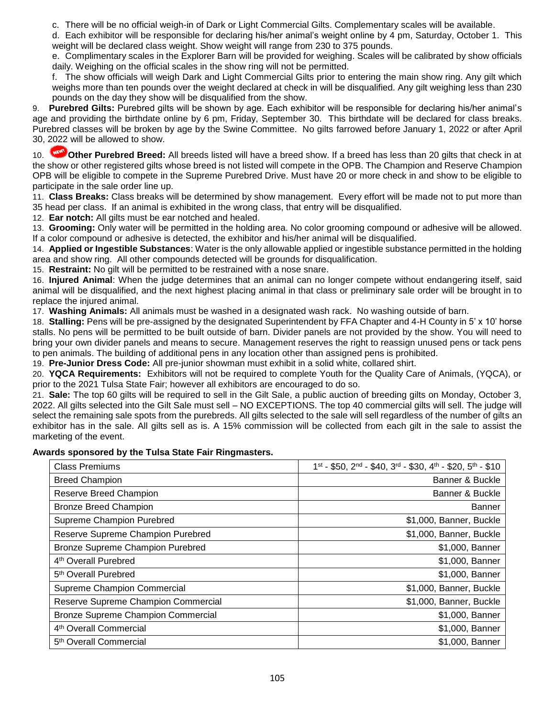c. There will be no official weigh-in of Dark or Light Commercial Gilts. Complementary scales will be available.

d. Each exhibitor will be responsible for declaring his/her animal's weight online by 4 pm, Saturday, October 1. This weight will be declared class weight. Show weight will range from 230 to 375 pounds.

e. Complimentary scales in the Explorer Barn will be provided for weighing. Scales will be calibrated by show officials daily. Weighing on the official scales in the show ring will not be permitted.

f. The show officials will weigh Dark and Light Commercial Gilts prior to entering the main show ring. Any gilt which weighs more than ten pounds over the weight declared at check in will be disqualified. Any gilt weighing less than 230 pounds on the day they show will be disqualified from the show.

9. **Purebred Gilts:** Purebred gilts will be shown by age. Each exhibitor will be responsible for declaring his/her animal's age and providing the birthdate online by 6 pm, Friday, September 30. This birthdate will be declared for class breaks. Purebred classes will be broken by age by the Swine Committee. No gilts farrowed before January 1, 2022 or after April 30, 2022 will be allowed to show.

10. **INCOM** Other Purebred Breed: All breeds listed will have a breed show. If a breed has less than 20 gilts that check in at the show or other registered gilts whose breed is not listed will compete in the OPB. The Champion and Reserve Champion OPB will be eligible to compete in the Supreme Purebred Drive. Must have 20 or more check in and show to be eligible to participate in the sale order line up.

11. **Class Breaks:** Class breaks will be determined by show management. Every effort will be made not to put more than 35 head per class. If an animal is exhibited in the wrong class, that entry will be disqualified.

12. **Ear notch:** All gilts must be ear notched and healed.

13. **Grooming:** Only water will be permitted in the holding area. No color grooming compound or adhesive will be allowed. If a color compound or adhesive is detected, the exhibitor and his/her animal will be disqualified.

14. **Applied or Ingestible Substances**: Water is the only allowable applied or ingestible substance permitted in the holding area and show ring. All other compounds detected will be grounds for disqualification.

15. **Restraint:** No gilt will be permitted to be restrained with a nose snare.

16. **Injured Animal**: When the judge determines that an animal can no longer compete without endangering itself, said animal will be disqualified, and the next highest placing animal in that class or preliminary sale order will be brought in to replace the injured animal.

17. **Washing Animals:** All animals must be washed in a designated wash rack. No washing outside of barn.

18. **Stalling:** Pens will be pre-assigned by the designated Superintendent by FFA Chapter and 4-H County in 5' x 10' horse stalls. No pens will be permitted to be built outside of barn. Divider panels are not provided by the show. You will need to bring your own divider panels and means to secure. Management reserves the right to reassign unused pens or tack pens to pen animals. The building of additional pens in any location other than assigned pens is prohibited.

19. **Pre-Junior Dress Code:** All pre-junior showman must exhibit in a solid white, collared shirt.

20. **YQCA Requirements:** Exhibitors will not be required to complete Youth for the Quality Care of Animals, (YQCA), or prior to the 2021 Tulsa State Fair; however all exhibitors are encouraged to do so.

21. **Sale:** The top 60 gilts will be required to sell in the Gilt Sale, a public auction of breeding gilts on Monday, October 3, 2022. All gilts selected into the Gilt Sale must sell – NO EXCEPTIONS. The top 40 commercial gilts will sell. The judge will select the remaining sale spots from the purebreds. All gilts selected to the sale will sell regardless of the number of gilts an exhibitor has in the sale. All gilts sell as is. A 15% commission will be collected from each gilt in the sale to assist the marketing of the event.

#### **Awards sponsored by the Tulsa State Fair Ringmasters.**

| <b>Class Premiums</b>                     | 1st - \$50, 2nd - \$40, 3rd - \$30, 4th - \$20, 5th - \$10 |
|-------------------------------------------|------------------------------------------------------------|
| <b>Breed Champion</b>                     | Banner & Buckle                                            |
| Reserve Breed Champion                    | Banner & Buckle                                            |
| <b>Bronze Breed Champion</b>              | <b>Banner</b>                                              |
| Supreme Champion Purebred                 | \$1,000, Banner, Buckle                                    |
| Reserve Supreme Champion Purebred         | \$1,000, Banner, Buckle                                    |
| Bronze Supreme Champion Purebred          | \$1,000, Banner                                            |
| 4 <sup>th</sup> Overall Purebred          | \$1,000, Banner                                            |
| 5 <sup>th</sup> Overall Purebred          | \$1,000, Banner                                            |
| Supreme Champion Commercial               | \$1,000, Banner, Buckle                                    |
| Reserve Supreme Champion Commercial       | \$1,000, Banner, Buckle                                    |
| <b>Bronze Supreme Champion Commercial</b> | \$1,000, Banner                                            |
| 4 <sup>th</sup> Overall Commercial        | \$1,000, Banner                                            |
| 5 <sup>th</sup> Overall Commercial        | \$1,000, Banner                                            |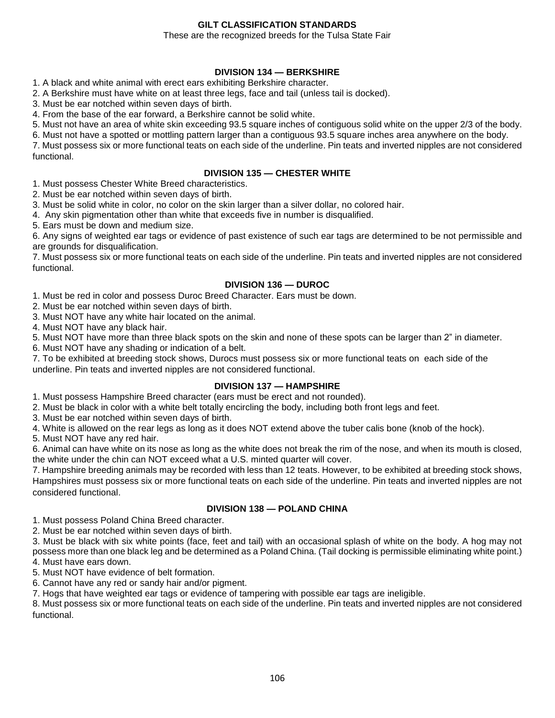# **GILT CLASSIFICATION STANDARDS**

#### These are the recognized breeds for the Tulsa State Fair

## **DIVISION 134 — BERKSHIRE**

1. A black and white animal with erect ears exhibiting Berkshire character.

2. A Berkshire must have white on at least three legs, face and tail (unless tail is docked).

3. Must be ear notched within seven days of birth.

4. From the base of the ear forward, a Berkshire cannot be solid white.

5. Must not have an area of white skin exceeding 93.5 square inches of contiguous solid white on the upper 2/3 of the body.

6. Must not have a spotted or mottling pattern larger than a contiguous 93.5 square inches area anywhere on the body.

7. Must possess six or more functional teats on each side of the underline. Pin teats and inverted nipples are not considered functional.

#### **DIVISION 135 — CHESTER WHITE**

1. Must possess Chester White Breed characteristics.

2. Must be ear notched within seven days of birth.

3. Must be solid white in color, no color on the skin larger than a silver dollar, no colored hair.

4. Any skin pigmentation other than white that exceeds five in number is disqualified.

5. Ears must be down and medium size.

6. Any signs of weighted ear tags or evidence of past existence of such ear tags are determined to be not permissible and are grounds for disqualification.

7. Must possess six or more functional teats on each side of the underline. Pin teats and inverted nipples are not considered functional.

# **DIVISION 136 — DUROC**

1. Must be red in color and possess Duroc Breed Character. Ears must be down.

2. Must be ear notched within seven days of birth.

3. Must NOT have any white hair located on the animal.

4. Must NOT have any black hair.

5. Must NOT have more than three black spots on the skin and none of these spots can be larger than 2" in diameter.

6. Must NOT have any shading or indication of a belt.

7. To be exhibited at breeding stock shows, Durocs must possess six or more functional teats on each side of the underline. Pin teats and inverted nipples are not considered functional.

# **DIVISION 137 — HAMPSHIRE**

1. Must possess Hampshire Breed character (ears must be erect and not rounded).

2. Must be black in color with a white belt totally encircling the body, including both front legs and feet.

3. Must be ear notched within seven days of birth.

4. White is allowed on the rear legs as long as it does NOT extend above the tuber calis bone (knob of the hock).

5. Must NOT have any red hair.

6. Animal can have white on its nose as long as the white does not break the rim of the nose, and when its mouth is closed, the white under the chin can NOT exceed what a U.S. minted quarter will cover.

7. Hampshire breeding animals may be recorded with less than 12 teats. However, to be exhibited at breeding stock shows, Hampshires must possess six or more functional teats on each side of the underline. Pin teats and inverted nipples are not considered functional.

# **DIVISION 138 — POLAND CHINA**

1. Must possess Poland China Breed character.

2. Must be ear notched within seven days of birth.

3. Must be black with six white points (face, feet and tail) with an occasional splash of white on the body. A hog may not possess more than one black leg and be determined as a Poland China. (Tail docking is permissible eliminating white point.) 4. Must have ears down.

5. Must NOT have evidence of belt formation.

6. Cannot have any red or sandy hair and/or pigment.

7. Hogs that have weighted ear tags or evidence of tampering with possible ear tags are ineligible.

8. Must possess six or more functional teats on each side of the underline. Pin teats and inverted nipples are not considered functional.